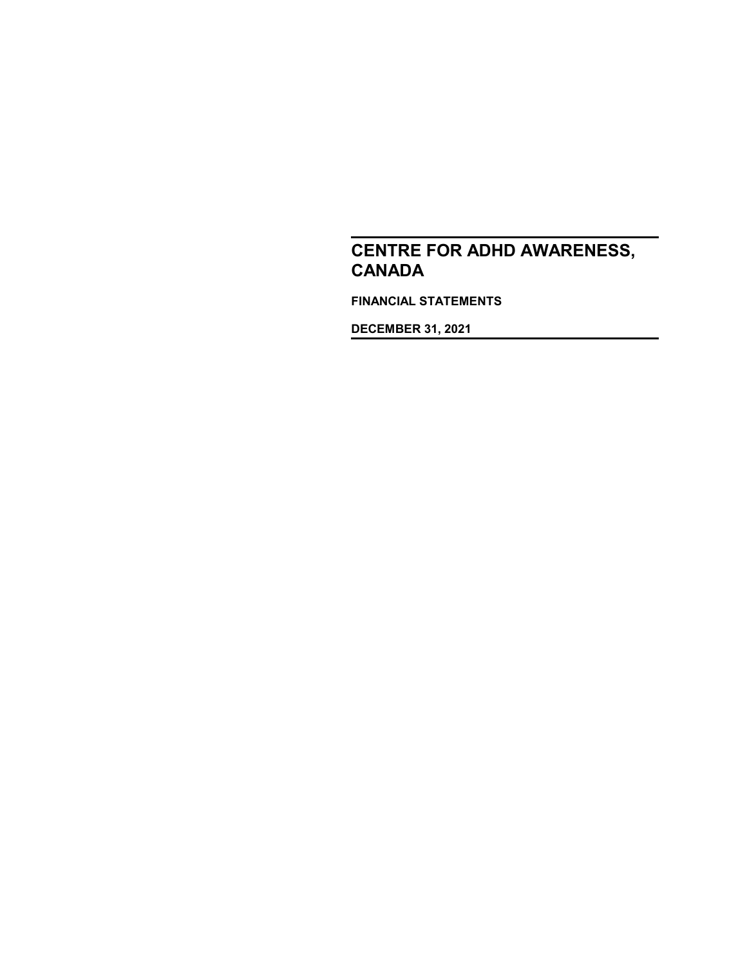**FINANCIAL STATEMENTS**

**DECEMBER 31, 2021**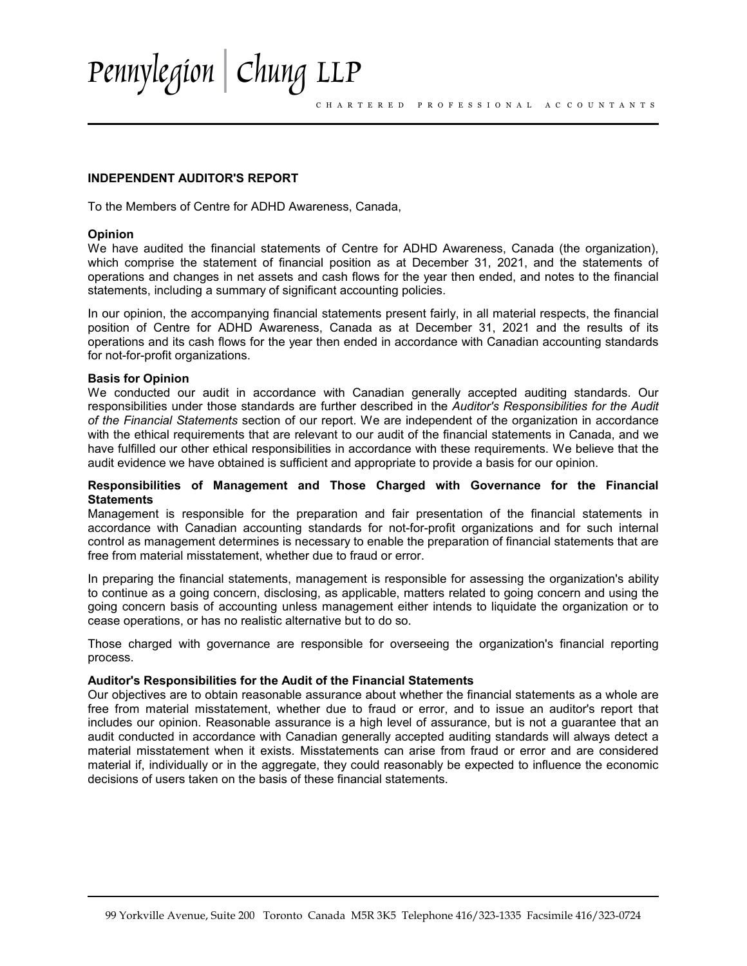Pennylegion|Chung LLP

#### **INDEPENDENT AUDITOR'S REPORT**

To the Members of Centre for ADHD Awareness, Canada,

#### **Opinion**

We have audited the financial statements of Centre for ADHD Awareness, Canada (the organization), which comprise the statement of financial position as at December 31, 2021, and the statements of operations and changes in net assets and cash flows for the year then ended, and notes to the financial statements, including a summary of significant accounting policies.

In our opinion, the accompanying financial statements present fairly, in all material respects, the financial position of Centre for ADHD Awareness, Canada as at December 31, 2021 and the results of its operations and its cash flows for the year then ended in accordance with Canadian accounting standards for not-for-profit organizations.

#### **Basis for Opinion**

We conducted our audit in accordance with Canadian generally accepted auditing standards. Our responsibilities under those standards are further described in the *Auditor's Responsibilities for the Audit of the Financial Statements* section of our report. We are independent of the organization in accordance with the ethical requirements that are relevant to our audit of the financial statements in Canada, and we have fulfilled our other ethical responsibilities in accordance with these requirements. We believe that the audit evidence we have obtained is sufficient and appropriate to provide a basis for our opinion.

#### **Responsibilities of Management and Those Charged with Governance for the Financial Statements**

Management is responsible for the preparation and fair presentation of the financial statements in accordance with Canadian accounting standards for not-for-profit organizations and for such internal control as management determines is necessary to enable the preparation of financial statements that are free from material misstatement, whether due to fraud or error.

In preparing the financial statements, management is responsible for assessing the organization's ability to continue as a going concern, disclosing, as applicable, matters related to going concern and using the going concern basis of accounting unless management either intends to liquidate the organization or to cease operations, or has no realistic alternative but to do so.

Those charged with governance are responsible for overseeing the organization's financial reporting process.

#### **Auditor's Responsibilities for the Audit of the Financial Statements**

Our objectives are to obtain reasonable assurance about whether the financial statements as a whole are free from material misstatement, whether due to fraud or error, and to issue an auditor's report that includes our opinion. Reasonable assurance is a high level of assurance, but is not a guarantee that an audit conducted in accordance with Canadian generally accepted auditing standards will always detect a material misstatement when it exists. Misstatements can arise from fraud or error and are considered material if, individually or in the aggregate, they could reasonably be expected to influence the economic decisions of users taken on the basis of these financial statements.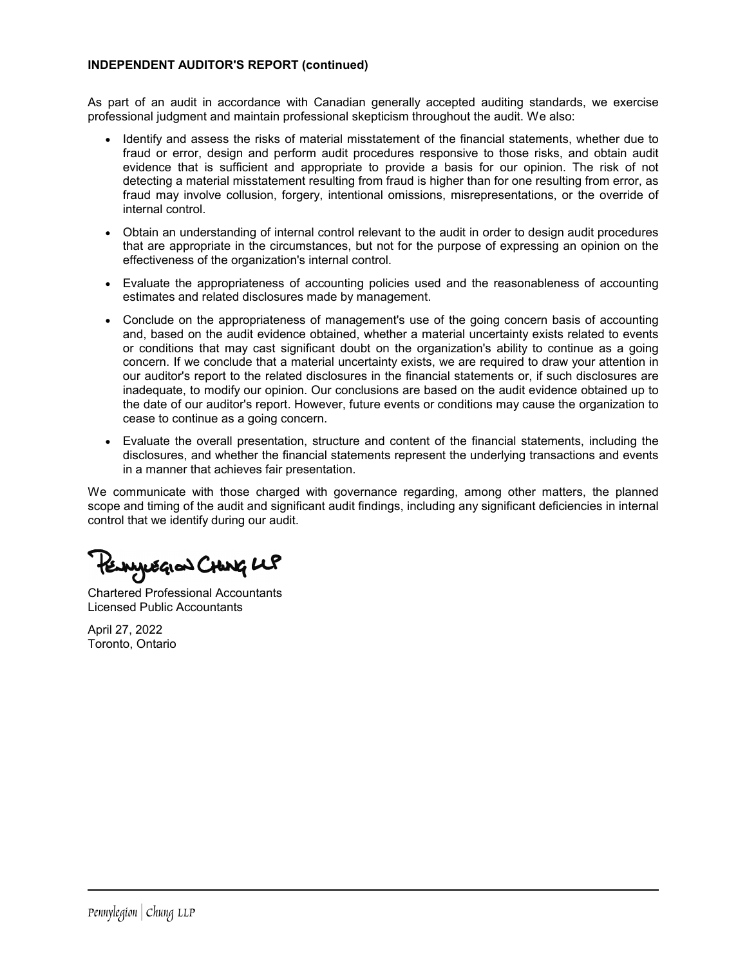### **INDEPENDENT AUDITOR'S REPORT (continued)**

As part of an audit in accordance with Canadian generally accepted auditing standards, we exercise professional judgment and maintain professional skepticism throughout the audit. We also:

- Identify and assess the risks of material misstatement of the financial statements, whether due to fraud or error, design and perform audit procedures responsive to those risks, and obtain audit evidence that is sufficient and appropriate to provide a basis for our opinion. The risk of not detecting a material misstatement resulting from fraud is higher than for one resulting from error, as fraud may involve collusion, forgery, intentional omissions, misrepresentations, or the override of internal control.
- Obtain an understanding of internal control relevant to the audit in order to design audit procedures that are appropriate in the circumstances, but not for the purpose of expressing an opinion on the effectiveness of the organization's internal control.
- Evaluate the appropriateness of accounting policies used and the reasonableness of accounting estimates and related disclosures made by management.
- Conclude on the appropriateness of management's use of the going concern basis of accounting and, based on the audit evidence obtained, whether a material uncertainty exists related to events or conditions that may cast significant doubt on the organization's ability to continue as a going concern. If we conclude that a material uncertainty exists, we are required to draw your attention in our auditor's report to the related disclosures in the financial statements or, if such disclosures are inadequate, to modify our opinion. Our conclusions are based on the audit evidence obtained up to the date of our auditor's report. However, future events or conditions may cause the organization to cease to continue as a going concern.
- Evaluate the overall presentation, structure and content of the financial statements, including the disclosures, and whether the financial statements represent the underlying transactions and events in a manner that achieves fair presentation.

We communicate with those charged with governance regarding, among other matters, the planned scope and timing of the audit and significant audit findings, including any significant deficiencies in internal control that we identify during our audit.

PENYVEGION CHUNG LLP

Chartered Professional Accountants Licensed Public Accountants

April 27, 2022 Toronto, Ontario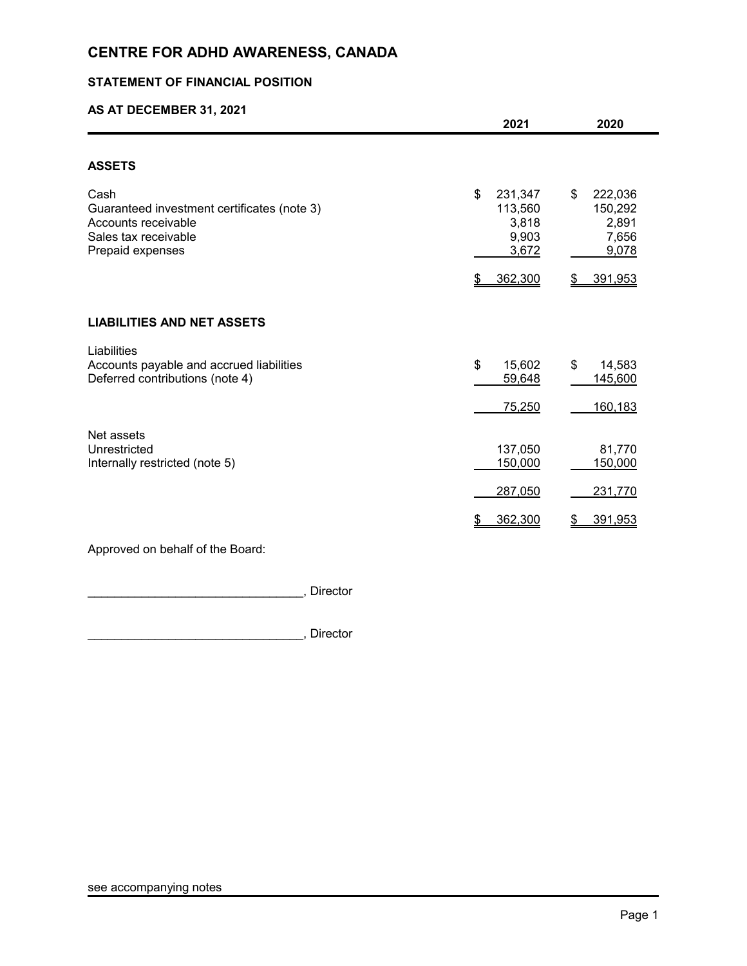### **STATEMENT OF FINANCIAL POSITION**

### **AS AT DECEMBER 31, 2021**

|                                                                                                                        | 2021                                                           | 2020                                                                       |
|------------------------------------------------------------------------------------------------------------------------|----------------------------------------------------------------|----------------------------------------------------------------------------|
| <b>ASSETS</b>                                                                                                          |                                                                |                                                                            |
| Cash<br>Guaranteed investment certificates (note 3)<br>Accounts receivable<br>Sales tax receivable<br>Prepaid expenses | \$<br>231,347<br>113,560<br>3,818<br>9,903<br>3,672<br>362,300 | \$<br>222,036<br>150,292<br>2,891<br>7,656<br>9,078<br><u>391,953</u><br>S |
|                                                                                                                        |                                                                |                                                                            |
| <b>LIABILITIES AND NET ASSETS</b>                                                                                      |                                                                |                                                                            |
| Liabilities<br>Accounts payable and accrued liabilities<br>Deferred contributions (note 4)                             | \$<br>15,602<br>59,648<br>75,250                               | \$<br>14,583<br>145,600<br>160,183                                         |
| Net assets<br>Unrestricted<br>Internally restricted (note 5)                                                           | 137,050<br>150,000                                             | 81,770<br>150,000                                                          |
|                                                                                                                        | 287,050                                                        | 231,770                                                                    |
|                                                                                                                        | 362,300                                                        | 391,953                                                                    |

Approved on behalf of the Board:

\_\_\_\_\_\_\_\_\_\_\_\_\_\_\_\_\_\_\_\_\_\_\_\_\_\_\_\_\_\_\_\_, Director

\_\_\_\_\_\_\_\_\_\_\_\_\_\_\_\_\_\_\_\_\_\_\_\_\_\_\_\_\_\_\_\_, Director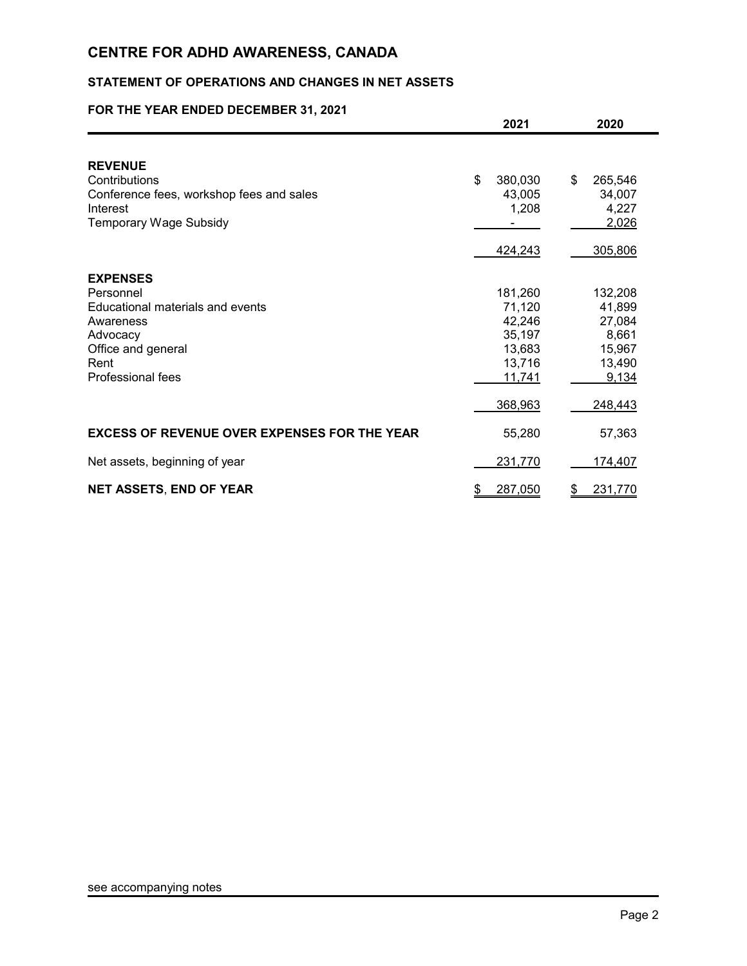### **STATEMENT OF OPERATIONS AND CHANGES IN NET ASSETS**

### **FOR THE YEAR ENDED DECEMBER 31, 2021**

|                                                     | 2021          | 2020          |
|-----------------------------------------------------|---------------|---------------|
|                                                     |               |               |
| <b>REVENUE</b>                                      |               |               |
| Contributions                                       | \$<br>380,030 | \$<br>265,546 |
| Conference fees, workshop fees and sales            | 43,005        | 34,007        |
| Interest                                            | 1,208         | 4,227         |
| Temporary Wage Subsidy                              |               | 2,026         |
|                                                     | 424,243       | 305,806       |
| <b>EXPENSES</b>                                     |               |               |
| Personnel                                           | 181,260       | 132,208       |
| Educational materials and events                    | 71,120        | 41,899        |
| Awareness                                           | 42,246        | 27,084        |
| Advocacy                                            | 35,197        | 8,661         |
| Office and general                                  | 13,683        | 15,967        |
| Rent                                                | 13,716        | 13,490        |
| Professional fees                                   | 11,741        | 9,134         |
|                                                     | 368,963       | 248,443       |
| <b>EXCESS OF REVENUE OVER EXPENSES FOR THE YEAR</b> | 55,280        | 57,363        |
| Net assets, beginning of year                       | 231,770       | 174,407       |
| <b>NET ASSETS, END OF YEAR</b>                      | 287,050<br>\$ | 231,770<br>\$ |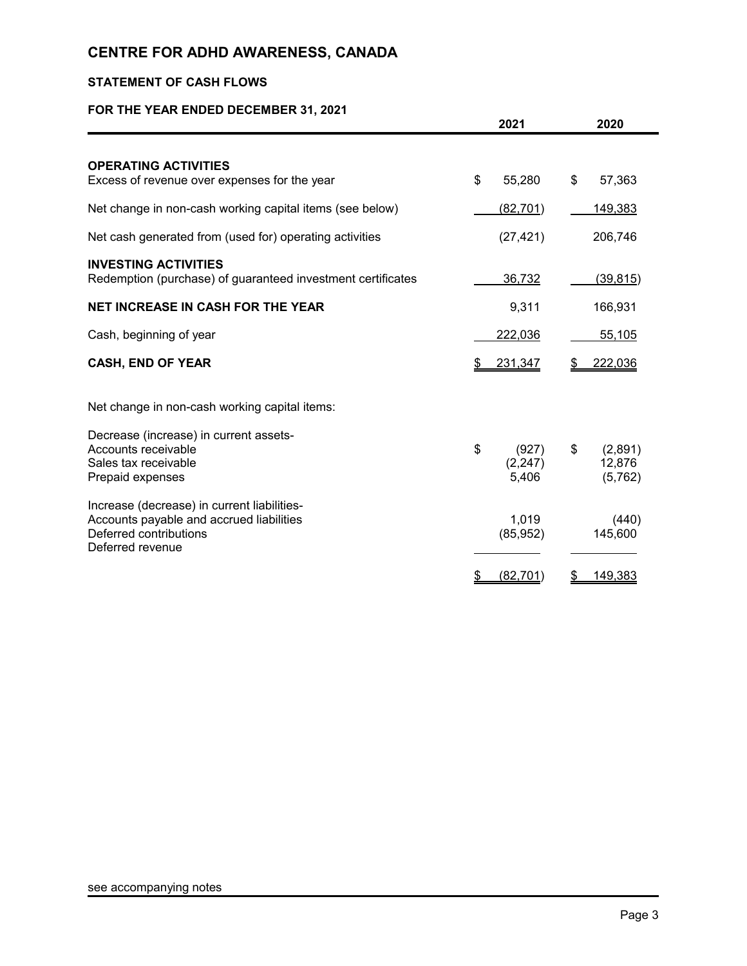### **STATEMENT OF CASH FLOWS**

### **FOR THE YEAR ENDED DECEMBER 31, 2021**

| I ON THE TEAN ENDED DECEMBEN 31, 2021                       | 2021              | 2020              |
|-------------------------------------------------------------|-------------------|-------------------|
|                                                             |                   |                   |
| <b>OPERATING ACTIVITIES</b>                                 |                   |                   |
| Excess of revenue over expenses for the year                | \$<br>55,280      | \$<br>57,363      |
| Net change in non-cash working capital items (see below)    | (82, 701)         | <u>149,383</u>    |
| Net cash generated from (used for) operating activities     | (27, 421)         | 206,746           |
| <b>INVESTING ACTIVITIES</b>                                 |                   |                   |
| Redemption (purchase) of guaranteed investment certificates | 36,732            | (39, 815)         |
| <b>NET INCREASE IN CASH FOR THE YEAR</b>                    | 9,311             | 166,931           |
| Cash, beginning of year                                     | 222,036           | 55,105            |
| <b>CASH, END OF YEAR</b>                                    | 231,347<br>S      | 222,036           |
| Net change in non-cash working capital items:               |                   |                   |
| Decrease (increase) in current assets-                      |                   |                   |
| Accounts receivable                                         | \$<br>(927)       | \$<br>(2,891)     |
| Sales tax receivable<br>Prepaid expenses                    | (2, 247)<br>5,406 | 12,876<br>(5,762) |
| Increase (decrease) in current liabilities-                 |                   |                   |
| Accounts payable and accrued liabilities                    | 1,019             | (440)             |
| Deferred contributions<br>Deferred revenue                  | (85, 952)         | 145,600           |
|                                                             | (82, 701)         | 149,383           |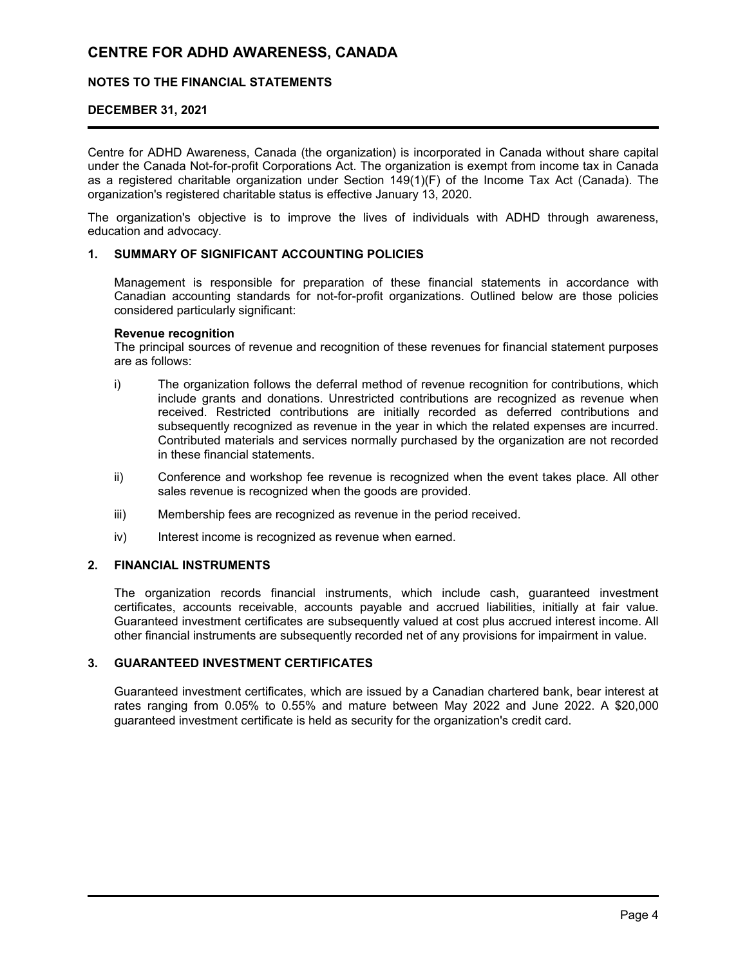### **NOTES TO THE FINANCIAL STATEMENTS**

#### **DECEMBER 31, 2021**

Centre for ADHD Awareness, Canada (the organization) is incorporated in Canada without share capital under the Canada Not-for-profit Corporations Act. The organization is exempt from income tax in Canada as a registered charitable organization under Section 149(1)(F) of the Income Tax Act (Canada). The organization's registered charitable status is effective January 13, 2020.

The organization's objective is to improve the lives of individuals with ADHD through awareness, education and advocacy.

#### **1. SUMMARY OF SIGNIFICANT ACCOUNTING POLICIES**

Management is responsible for preparation of these financial statements in accordance with Canadian accounting standards for not-for-profit organizations. Outlined below are those policies considered particularly significant:

#### **Revenue recognition**

The principal sources of revenue and recognition of these revenues for financial statement purposes are as follows:

- i) The organization follows the deferral method of revenue recognition for contributions, which include grants and donations. Unrestricted contributions are recognized as revenue when received. Restricted contributions are initially recorded as deferred contributions and subsequently recognized as revenue in the year in which the related expenses are incurred. Contributed materials and services normally purchased by the organization are not recorded in these financial statements.
- ii) Conference and workshop fee revenue is recognized when the event takes place. All other sales revenue is recognized when the goods are provided.
- iii) Membership fees are recognized as revenue in the period received.
- iv) Interest income is recognized as revenue when earned.

### **2. FINANCIAL INSTRUMENTS**

The organization records financial instruments, which include cash, guaranteed investment certificates, accounts receivable, accounts payable and accrued liabilities, initially at fair value. Guaranteed investment certificates are subsequently valued at cost plus accrued interest income. All other financial instruments are subsequently recorded net of any provisions for impairment in value.

### **3. GUARANTEED INVESTMENT CERTIFICATES**

Guaranteed investment certificates, which are issued by a Canadian chartered bank, bear interest at rates ranging from 0.05% to 0.55% and mature between May 2022 and June 2022. A \$20,000 guaranteed investment certificate is held as security for the organization's credit card.